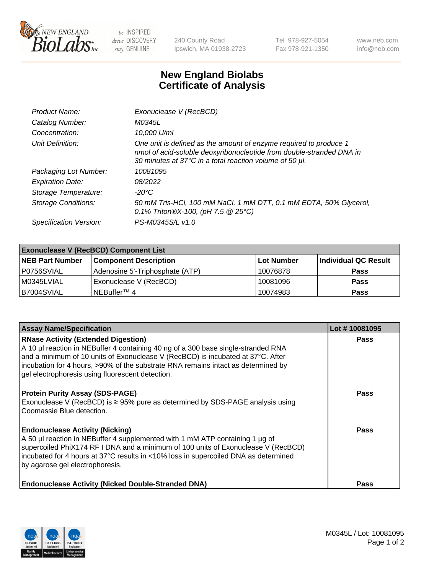

 $be$  INSPIRED drive DISCOVERY stay GENUINE

240 County Road Ipswich, MA 01938-2723 Tel 978-927-5054 Fax 978-921-1350 www.neb.com info@neb.com

## **New England Biolabs Certificate of Analysis**

| Product Name:              | Exonuclease V (RecBCD)                                                                                                                                                                               |
|----------------------------|------------------------------------------------------------------------------------------------------------------------------------------------------------------------------------------------------|
| Catalog Number:            | M0345L                                                                                                                                                                                               |
| Concentration:             | 10,000 U/ml                                                                                                                                                                                          |
| Unit Definition:           | One unit is defined as the amount of enzyme required to produce 1<br>nmol of acid-soluble deoxyribonucleotide from double-stranded DNA in<br>30 minutes at 37°C in a total reaction volume of 50 µl. |
| Packaging Lot Number:      | 10081095                                                                                                                                                                                             |
| <b>Expiration Date:</b>    | 08/2022                                                                                                                                                                                              |
| Storage Temperature:       | $-20^{\circ}$ C                                                                                                                                                                                      |
| <b>Storage Conditions:</b> | 50 mM Tris-HCl, 100 mM NaCl, 1 mM DTT, 0.1 mM EDTA, 50% Glycerol,<br>0.1% Triton®X-100, (pH 7.5 $@25°C$ )                                                                                            |
| Specification Version:     | PS-M0345S/L v1.0                                                                                                                                                                                     |

| <b>Exonuclease V (RecBCD) Component List</b> |                                 |             |                      |  |
|----------------------------------------------|---------------------------------|-------------|----------------------|--|
| <b>NEB Part Number</b>                       | <b>Component Description</b>    | ⊺Lot Number | Individual QC Result |  |
| P0756SVIAL                                   | Adenosine 5'-Triphosphate (ATP) | 10076878    | <b>Pass</b>          |  |
| M0345LVIAL                                   | Exonuclease V (RecBCD)          | 10081096    | <b>Pass</b>          |  |
| B7004SVIAL                                   | NEBuffer <sup>™</sup> 4         | 10074983    | <b>Pass</b>          |  |

| <b>Assay Name/Specification</b>                                                                                                                                                                                                                                                                                                                             | Lot #10081095 |
|-------------------------------------------------------------------------------------------------------------------------------------------------------------------------------------------------------------------------------------------------------------------------------------------------------------------------------------------------------------|---------------|
| <b>RNase Activity (Extended Digestion)</b><br>A 10 µl reaction in NEBuffer 4 containing 40 ng of a 300 base single-stranded RNA<br>and a minimum of 10 units of Exonuclease V (RecBCD) is incubated at 37°C. After<br>incubation for 4 hours, >90% of the substrate RNA remains intact as determined by<br>gel electrophoresis using fluorescent detection. | <b>Pass</b>   |
| <b>Protein Purity Assay (SDS-PAGE)</b><br>Exonuclease V (RecBCD) is ≥ 95% pure as determined by SDS-PAGE analysis using<br>Coomassie Blue detection.                                                                                                                                                                                                        | <b>Pass</b>   |
| <b>Endonuclease Activity (Nicking)</b><br>A 50 µl reaction in NEBuffer 4 supplemented with 1 mM ATP containing 1 µg of<br>supercoiled PhiX174 RF I DNA and a minimum of 100 units of Exonuclease V (RecBCD)<br>incubated for 4 hours at 37°C results in <10% loss in supercoiled DNA as determined<br>by agarose gel electrophoresis.                       | Pass          |
| <b>Endonuclease Activity (Nicked Double-Stranded DNA)</b>                                                                                                                                                                                                                                                                                                   | Pass          |